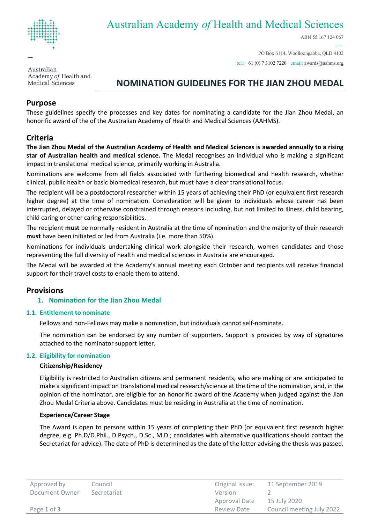

# Australian Academy *of* Health and Medical Sciences

ABN 55 167 124 067

PO Box 6114, Woolloongabba, QLD 4102 tel.: +61 (0) 7 3102 7220 · email: awards@aahms.org

Australian Academy of Health and Medical Sciences

## **NOMINATION GUIDELINES FOR THE JIAN ZHOU MEDAL**

## **Purpose**

These guidelines specify the processes and key dates for nominating a candidate for the Jian Zhou Medal, an honorific award of the of the Australian Academy of Health and Medical Sciences (AAHMS).

## **Criteria**

**The Jian Zhou Medal of the Australian Academy of Health and Medical Sciences is awarded annually to a rising star of Australian health and medical science.** The Medal recognises an individual who is making a significant impact in translational medical science, primarily working in Australia.

Nominations are welcome from all fields associated with furthering biomedical and health research, whether clinical, public health or basic biomedical research, but must have a clear translational focus.

The recipient will be a postdoctoral researcher within 15 years of achieving their PhD (or equivalent first research higher degree) at the time of nomination. Consideration will be given to individuals whose career has been interrupted, delayed or otherwise constrained through reasons including, but not limited to illness, child bearing, child caring or other caring responsibilities.

The recipient **must** be normally resident in Australia at the time of nomination and the majority of their research **must** have been initiated or led from Australia (i.e. more than 50%).

Nominations for individuals undertaking clinical work alongside their research, women candidates and those representing the full diversity of health and medical sciences in Australia are encouraged.

The Medal will be awarded at the Academy's annual meeting each October and recipients will receive financial support for their travel costs to enable them to attend.

## **Provisions**

#### **1. Nomination for the Jian Zhou Medal**

#### **1.1. Entitlement to nominate**

Fellows and non-Fellows may make a nomination, but individuals cannot self-nominate.

The nomination can be endorsed by any number of supporters. Support is provided by way of signatures attached to the nominator support letter.

#### **1.2. Eligibility for nomination**

#### **Citizenship/Residency**

Eligibility is restricted to Australian citizens and permanent residents, who are making or are anticipated to make a significant impact on translational medical research/science at the time of the nomination, and, in the opinion of the nominator, are eligible for an honorific award of the Academy when judged against the Jian Zhou Medal Criteria above. Candidates must be residing in Australia at the time of nomination.

#### **Experience/Career Stage**

The Award is open to persons within 15 years of completing their PhD (or equivalent first research higher degree, e.g. Ph.D/D.Phil., D.Psych., D.Sc., M.D.; candidates with alternative qualifications should contact the Secretariat for advice). The date of PhD is determined as the date of the letter advising the thesis was passed.

| Approved by    | Council     | Original Issue:    | 11 September 2019         |
|----------------|-------------|--------------------|---------------------------|
| Document Owner | Secretariat | Version:           |                           |
|                |             | Approval Date      | 15 July 2020              |
| Page 1 of 3    |             | <b>Review Date</b> | Council meeting July 2022 |
|                |             |                    |                           |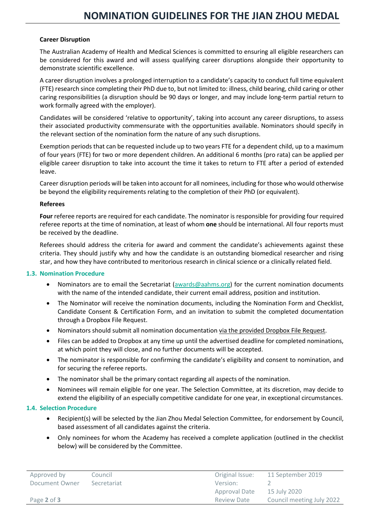#### **Career Disruption**

The Australian Academy of Health and Medical Sciences is committed to ensuring all eligible researchers can be considered for this award and will assess qualifying career disruptions alongside their opportunity to demonstrate scientific excellence.

A career disruption involves a prolonged interruption to a candidate's capacity to conduct full time equivalent (FTE) research since completing their PhD due to, but not limited to: illness, child bearing, child caring or other caring responsibilities (a disruption should be 90 days or longer, and may include long-term partial return to work formally agreed with the employer).

Candidates will be considered 'relative to opportunity', taking into account any career disruptions, to assess their associated productivity commensurate with the opportunities available. Nominators should specify in the relevant section of the nomination form the nature of any such disruptions.

Exemption periods that can be requested include up to two years FTE for a dependent child, up to a maximum of four years (FTE) for two or more dependent children. An additional 6 months (pro rata) can be applied per eligible career disruption to take into account the time it takes to return to FTE after a period of extended leave.

Career disruption periods will be taken into account for all nominees, including for those who would otherwise be beyond the eligibility requirements relating to the completion of their PhD (or equivalent).

#### **Referees**

**Four** referee reports are required for each candidate. The nominator is responsible for providing four required referee reports at the time of nomination, at least of whom **one** should be international. All four reports must be received by the deadline.

Referees should address the criteria for award and comment the candidate's achievements against these criteria. They should justify why and how the candidate is an outstanding biomedical researcher and rising star, and how they have contributed to meritorious research in clinical science or a clinically related field.

#### **1.3. Nomination Procedure**

- Nominators are to email the Secretariat [\(awards@aahms.org\)](mailto:awards@aahms.org) for the current nomination documents with the name of the intended candidate, their current email address, position and institution.
- The Nominator will receive the nomination documents, including the Nomination Form and Checklist, Candidate Consent & Certification Form, and an invitation to submit the completed documentation through a Dropbox File Request.
- Nominators should submit all nomination documentation via the provided Dropbox File Request.
- Files can be added to Dropbox at any time up until the advertised deadline for completed nominations, at which point they will close, and no further documents will be accepted.
- The nominator is responsible for confirming the candidate's eligibility and consent to nomination, and for securing the referee reports.
- The nominator shall be the primary contact regarding all aspects of the nomination.
- Nominees will remain eligible for one year. The Selection Committee, at its discretion, may decide to extend the eligibility of an especially competitive candidate for one year, in exceptional circumstances.

#### **1.4. Selection Procedure**

- Recipient(s) will be selected by the Jian Zhou Medal Selection Committee, for endorsement by Council, based assessment of all candidates against the criteria.
- Only nominees for whom the Academy has received a complete application (outlined in the checklist below) will be considered by the Committee.

| Approved by    | Council     | Original Issue:    | 11 September 2019         |
|----------------|-------------|--------------------|---------------------------|
| Document Owner | Secretariat | Version:           |                           |
|                |             | Approval Date      | 15 July 2020              |
| Page 2 of 3    |             | <b>Review Date</b> | Council meeting July 2022 |